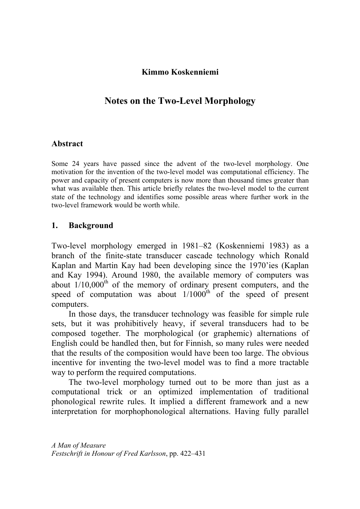## **Kimmo Koskenniemi**

# **Notes on the Two-Level Morphology**

#### **Abstract**

Some 24 years have passed since the advent of the two-level morphology. One motivation for the invention of the two-level model was computational efficiency. The power and capacity of present computers is now more than thousand times greater than what was available then. This article briefly relates the two-level model to the current state of the technology and identifies some possible areas where further work in the two-level framework would be worth while.

#### **1. Background**

Two-level morphology emerged in 1981–82 (Koskenniemi 1983) as a branch of the finite-state transducer cascade technology which Ronald Kaplan and Martin Kay had been developing since the 1970'ies (Kaplan and Kay 1994). Around 1980, the available memory of computers was about  $1/10,000$ <sup>th</sup> of the memory of ordinary present computers, and the speed of computation was about  $1/1000^{th}$  of the speed of present computers.

In those days, the transducer technology was feasible for simple rule sets, but it was prohibitively heavy, if several transducers had to be composed together. The morphological (or graphemic) alternations of English could be handled then, but for Finnish, so many rules were needed that the results of the composition would have been too large. The obvious incentive for inventing the two-level model was to find a more tractable way to perform the required computations.

The two-level morphology turned out to be more than just as a computational trick or an optimized implementation of traditional phonological rewrite rules. It implied a different framework and a new interpretation for morphophonological alternations. Having fully parallel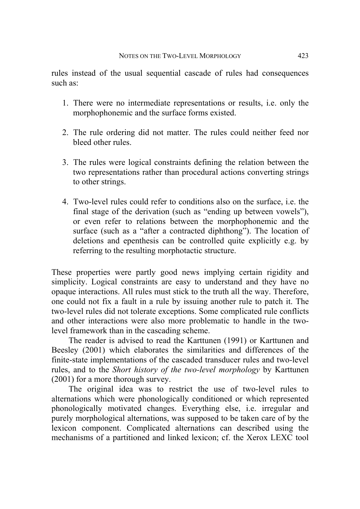rules instead of the usual sequential cascade of rules had consequences such as:

- 1. There were no intermediate representations or results, i.e. only the morphophonemic and the surface forms existed.
- 2. The rule ordering did not matter. The rules could neither feed nor bleed other rules.
- 3. The rules were logical constraints defining the relation between the two representations rather than procedural actions converting strings to other strings.
- 4. Two-level rules could refer to conditions also on the surface, i.e. the final stage of the derivation (such as "ending up between vowels"), or even refer to relations between the morphophonemic and the surface (such as a "after a contracted diphthong"). The location of deletions and epenthesis can be controlled quite explicitly e.g. by referring to the resulting morphotactic structure.

These properties were partly good news implying certain rigidity and simplicity. Logical constraints are easy to understand and they have no opaque interactions. All rules must stick to the truth all the way. Therefore, one could not fix a fault in a rule by issuing another rule to patch it. The two-level rules did not tolerate exceptions. Some complicated rule conflicts and other interactions were also more problematic to handle in the twolevel framework than in the cascading scheme.

The reader is advised to read the Karttunen (1991) or Karttunen and Beesley (2001) which elaborates the similarities and differences of the finite-state implementations of the cascaded transducer rules and two-level rules, and to the *Short history of the two-level morphology* by Karttunen (2001) for a more thorough survey.

The original idea was to restrict the use of two-level rules to alternations which were phonologically conditioned or which represented phonologically motivated changes. Everything else, i.e. irregular and purely morphological alternations, was supposed to be taken care of by the lexicon component. Complicated alternations can described using the mechanisms of a partitioned and linked lexicon; cf. the Xerox LEXC tool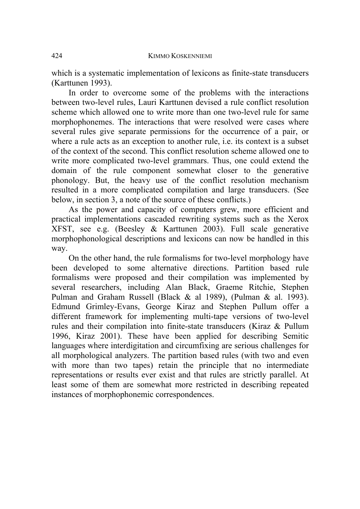which is a systematic implementation of lexicons as finite-state transducers (Karttunen 1993).

In order to overcome some of the problems with the interactions between two-level rules, Lauri Karttunen devised a rule conflict resolution scheme which allowed one to write more than one two-level rule for same morphophonemes. The interactions that were resolved were cases where several rules give separate permissions for the occurrence of a pair, or where a rule acts as an exception to another rule, i.e. its context is a subset of the context of the second. This conflict resolution scheme allowed one to write more complicated two-level grammars. Thus, one could extend the domain of the rule component somewhat closer to the generative phonology. But, the heavy use of the conflict resolution mechanism resulted in a more complicated compilation and large transducers. (See below, in section 3, a note of the source of these conflicts.)

As the power and capacity of computers grew, more efficient and practical implementations cascaded rewriting systems such as the Xerox XFST, see e.g. (Beesley & Karttunen 2003). Full scale generative morphophonological descriptions and lexicons can now be handled in this way.

On the other hand, the rule formalisms for two-level morphology have been developed to some alternative directions. Partition based rule formalisms were proposed and their compilation was implemented by several researchers, including Alan Black, Graeme Ritchie, Stephen Pulman and Graham Russell (Black & al 1989), (Pulman & al. 1993). Edmund Grimley-Evans, George Kiraz and Stephen Pullum offer a different framework for implementing multi-tape versions of two-level rules and their compilation into finite-state transducers (Kiraz & Pullum 1996, Kiraz 2001). These have been applied for describing Semitic languages where interdigitation and circumfixing are serious challenges for all morphological analyzers. The partition based rules (with two and even with more than two tapes) retain the principle that no intermediate representations or results ever exist and that rules are strictly parallel. At least some of them are somewhat more restricted in describing repeated instances of morphophonemic correspondences.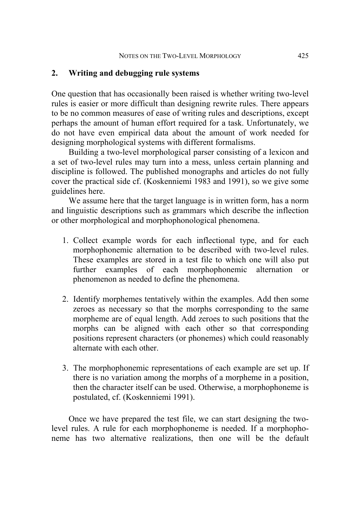#### **2. Writing and debugging rule systems**

One question that has occasionally been raised is whether writing two-level rules is easier or more difficult than designing rewrite rules. There appears to be no common measures of ease of writing rules and descriptions, except perhaps the amount of human effort required for a task. Unfortunately, we do not have even empirical data about the amount of work needed for designing morphological systems with different formalisms.

Building a two-level morphological parser consisting of a lexicon and a set of two-level rules may turn into a mess, unless certain planning and discipline is followed. The published monographs and articles do not fully cover the practical side cf. (Koskenniemi 1983 and 1991), so we give some guidelines here.

We assume here that the target language is in written form, has a norm and linguistic descriptions such as grammars which describe the inflection or other morphological and morphophonological phenomena.

- 1. Collect example words for each inflectional type, and for each morphophonemic alternation to be described with two-level rules. These examples are stored in a test file to which one will also put further examples of each morphophonemic alternation or phenomenon as needed to define the phenomena.
- 2. Identify morphemes tentatively within the examples. Add then some zeroes as necessary so that the morphs corresponding to the same morpheme are of equal length. Add zeroes to such positions that the morphs can be aligned with each other so that corresponding positions represent characters (or phonemes) which could reasonably alternate with each other.
- 3. The morphophonemic representations of each example are set up. If there is no variation among the morphs of a morpheme in a position, then the character itself can be used. Otherwise, a morphophoneme is postulated, cf. (Koskenniemi 1991).

Once we have prepared the test file, we can start designing the twolevel rules. A rule for each morphophoneme is needed. If a morphophoneme has two alternative realizations, then one will be the default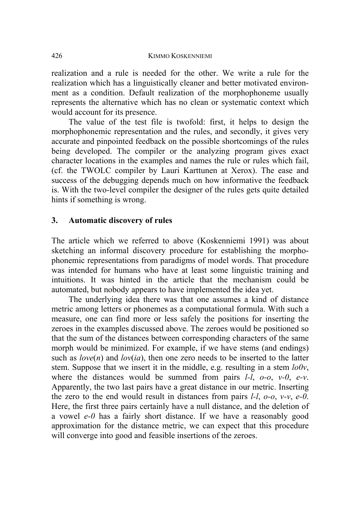realization and a rule is needed for the other. We write a rule for the realization which has a linguistically cleaner and better motivated environment as a condition. Default realization of the morphophoneme usually represents the alternative which has no clean or systematic context which would account for its presence.

The value of the test file is twofold: first, it helps to design the morphophonemic representation and the rules, and secondly, it gives very accurate and pinpointed feedback on the possible shortcomings of the rules being developed. The compiler or the analyzing program gives exact character locations in the examples and names the rule or rules which fail, (cf. the TWOLC compiler by Lauri Karttunen at Xerox). The ease and success of the debugging depends much on how informative the feedback is. With the two-level compiler the designer of the rules gets quite detailed hints if something is wrong.

### **3. Automatic discovery of rules**

The article which we referred to above (Koskenniemi 1991) was about sketching an informal discovery procedure for establishing the morphophonemic representations from paradigms of model words. That procedure was intended for humans who have at least some linguistic training and intuitions. It was hinted in the article that the mechanism could be automated, but nobody appears to have implemented the idea yet.

The underlying idea there was that one assumes a kind of distance metric among letters or phonemes as a computational formula. With such a measure, one can find more or less safely the positions for inserting the zeroes in the examples discussed above. The zeroes would be positioned so that the sum of the distances between corresponding characters of the same morph would be minimized. For example, if we have stems (and endings) such as  $love(n)$  and  $lov(ia)$ , then one zero needs to be inserted to the latter stem. Suppose that we insert it in the middle, e.g. resulting in a stem *lo0v*, where the distances would be summed from pairs *l-l*, *o-o*, *v-0*, *e-v*. Apparently, the two last pairs have a great distance in our metric. Inserting the zero to the end would result in distances from pairs *l-l*, *o-o*, *v-v*, *e-0*. Here, the first three pairs certainly have a null distance, and the deletion of a vowel *e-0* has a fairly short distance. If we have a reasonably good approximation for the distance metric, we can expect that this procedure will converge into good and feasible insertions of the zeroes.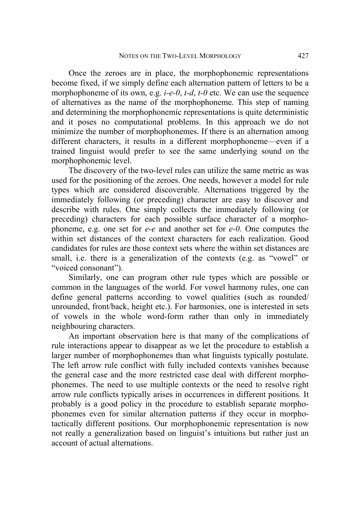Once the zeroes are in place, the morphophonemic representations become fixed, if we simply define each alternation pattern of letters to be a morphophoneme of its own, e.g. *i-e-0*, *t-d*, *t-0* etc. We can use the sequence of alternatives as the name of the morphophoneme. This step of naming and determining the morphophonemic representations is quite deterministic and it poses no computational problems. In this approach we do not minimize the number of morphophonemes. If there is an alternation among different characters, it results in a different morphophoneme—even if a trained linguist would prefer to see the same underlying sound on the morphophonemic level.

The discovery of the two-level rules can utilize the same metric as was used for the positioning of the zeroes. One needs, however a model for rule types which are considered discoverable. Alternations triggered by the immediately following (or preceding) character are easy to discover and describe with rules. One simply collects the immediately following (or preceding) characters for each possible surface character of a morphophoneme, e.g. one set for *e-e* and another set for *e-0*. One computes the within set distances of the context characters for each realization. Good candidates for rules are those context sets where the within set distances are small, i.e. there is a generalization of the contexts (e.g. as "vowel" or "voiced consonant").

Similarly, one can program other rule types which are possible or common in the languages of the world. For vowel harmony rules, one can define general patterns according to vowel qualities (such as rounded/ unrounded, front/back, height etc.). For harmonies, one is interested in sets of vowels in the whole word-form rather than only in immediately neighbouring characters.

An important observation here is that many of the complications of rule interactions appear to disappear as we let the procedure to establish a larger number of morphophonemes than what linguists typically postulate. The left arrow rule conflict with fully included contexts vanishes because the general case and the more restricted case deal with different morphophonemes. The need to use multiple contexts or the need to resolve right arrow rule conflicts typically arises in occurrences in different positions. It probably is a good policy in the procedure to establish separate morphophonemes even for similar alternation patterns if they occur in morphotactically different positions. Our morphophonemic representation is now not really a generalization based on linguist's intuitions but rather just an account of actual alternations.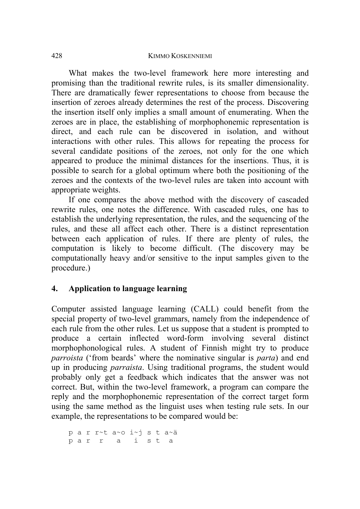#### 428 KIMMO KOSKENNIEMI

What makes the two-level framework here more interesting and promising than the traditional rewrite rules, is its smaller dimensionality. There are dramatically fewer representations to choose from because the insertion of zeroes already determines the rest of the process. Discovering the insertion itself only implies a small amount of enumerating. When the zeroes are in place, the establishing of morphophonemic representation is direct, and each rule can be discovered in isolation, and without interactions with other rules. This allows for repeating the process for several candidate positions of the zeroes, not only for the one which appeared to produce the minimal distances for the insertions. Thus, it is possible to search for a global optimum where both the positioning of the zeroes and the contexts of the two-level rules are taken into account with appropriate weights.

If one compares the above method with the discovery of cascaded rewrite rules, one notes the difference. With cascaded rules, one has to establish the underlying representation, the rules, and the sequencing of the rules, and these all affect each other. There is a distinct representation between each application of rules. If there are plenty of rules, the computation is likely to become difficult. (The discovery may be computationally heavy and/or sensitive to the input samples given to the procedure.)

# **4. Application to language learning**

Computer assisted language learning (CALL) could benefit from the special property of two-level grammars, namely from the independence of each rule from the other rules. Let us suppose that a student is prompted to produce a certain inflected word-form involving several distinct morphophonological rules. A student of Finnish might try to produce *parroista* ('from beards' where the nominative singular is *parta*) and end up in producing *parraista*. Using traditional programs, the student would probably only get a feedback which indicates that the answer was not correct. But, within the two-level framework, a program can compare the reply and the morphophonemic representation of the correct target form using the same method as the linguist uses when testing rule sets. In our example, the representations to be compared would be:

p a r r~t a~o i~j s t a~ä p a r r a i s t a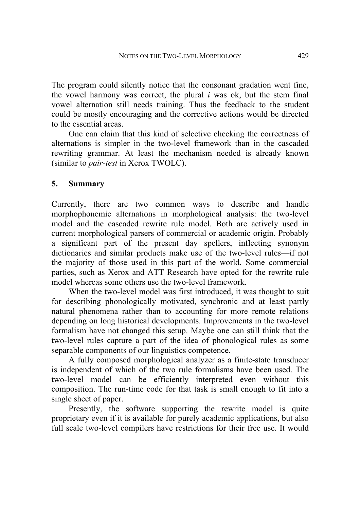The program could silently notice that the consonant gradation went fine, the vowel harmony was correct, the plural *i* was ok, but the stem final vowel alternation still needs training. Thus the feedback to the student could be mostly encouraging and the corrective actions would be directed to the essential areas.

One can claim that this kind of selective checking the correctness of alternations is simpler in the two-level framework than in the cascaded rewriting grammar. At least the mechanism needed is already known (similar to *pair-test* in Xerox TWOLC).

#### **5. Summary**

Currently, there are two common ways to describe and handle morphophonemic alternations in morphological analysis: the two-level model and the cascaded rewrite rule model. Both are actively used in current morphological parsers of commercial or academic origin. Probably a significant part of the present day spellers, inflecting synonym dictionaries and similar products make use of the two-level rules—if not the majority of those used in this part of the world. Some commercial parties, such as Xerox and ATT Research have opted for the rewrite rule model whereas some others use the two-level framework.

When the two-level model was first introduced, it was thought to suit for describing phonologically motivated, synchronic and at least partly natural phenomena rather than to accounting for more remote relations depending on long historical developments. Improvements in the two-level formalism have not changed this setup. Maybe one can still think that the two-level rules capture a part of the idea of phonological rules as some separable components of our linguistics competence.

A fully composed morphological analyzer as a finite-state transducer is independent of which of the two rule formalisms have been used. The two-level model can be efficiently interpreted even without this composition. The run-time code for that task is small enough to fit into a single sheet of paper.

Presently, the software supporting the rewrite model is quite proprietary even if it is available for purely academic applications, but also full scale two-level compilers have restrictions for their free use. It would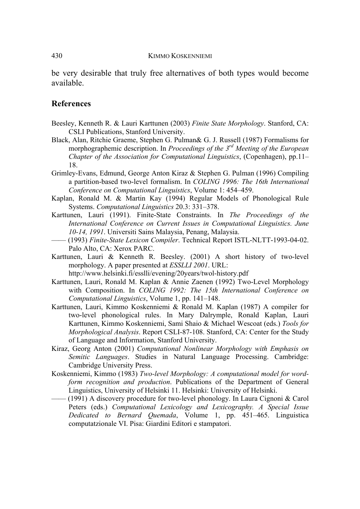be very desirable that truly free alternatives of both types would become available.

#### **References**

- Beesley, Kenneth R. & Lauri Karttunen (2003) *Finite State Morphology*. Stanford, CA: CSLI Publications, Stanford University.
- Black, Alan, Ritchie Graeme, Stephen G. Pulman& G. J. Russell (1987) Formalisms for morphographemic description. In *Proceedings of the 3rd Meeting of the European Chapter of the Association for Computational Linguistics*, (Copenhagen), pp.11– 18.
- Grimley-Evans, Edmund, George Anton Kiraz & Stephen G. Pulman (1996) Compiling a partition-based two-level formalism. In *COLING 1996: The 16th International Conference on Computational Linguistics*, Volume 1: 454–459.
- Kaplan, Ronald M. & Martin Kay (1994) Regular Models of Phonological Rule Systems. *Computational Linguistics* 20.3: 331–378.
- Karttunen, Lauri (1991). Finite-State Constraints. In *The Proceedings of the International Conference on Current Issues in Computational Linguistics. June 10-14, 1991*. Universiti Sains Malaysia, Penang, Malaysia.
- —— (1993) *Finite-State Lexicon Compiler*. Technical Report ISTL-NLTT-1993-04-02. Palo Alto, CA: Xerox PARC.
- Karttunen, Lauri & Kenneth R. Beesley. (2001) A short history of two-level morphology. A paper presented at *ESSLLI 2001*. URL:

http://www.helsinki.fi/esslli/evening/20years/twol-history.pdf

- Karttunen, Lauri, Ronald M. Kaplan & Annie Zaenen (1992) Two-Level Morphology with Composition. In *COLING 1992: The 15th International Conference on Computational Linguistics*, Volume 1, pp. 141–148.
- Karttunen, Lauri, Kimmo Koskenniemi & Ronald M. Kaplan (1987) A compiler for two-level phonological rules. In Mary Dalrymple, Ronald Kaplan, Lauri Karttunen, Kimmo Koskenniemi, Sami Shaio & Michael Wescoat (eds.) *Tools for Morphological Analysis*. Report CSLI-87-108. Stanford, CA: Center for the Study of Language and Information, Stanford University.
- Kiraz, Georg Anton (2001) *Computational Nonlinear Morphology with Emphasis on Semitic Languages*. Studies in Natural Language Processing. Cambridge: Cambridge University Press.
- Koskenniemi, Kimmo (1983) *Two-level Morphology: A computational model for wordform recognition and production*. Publications of the Department of General Linguistics, University of Helsinki 11. Helsinki: University of Helsinki.
- (1991) A discovery procedure for two-level phonology. In Laura Cignoni  $& Carol$ Peters (eds.) *Computational Lexicology and Lexicography. A Special Issue Dedicated to Bernard Quemada*, Volume 1, pp. 451–465. Linguistica computatzionale VI. Pisa: Giardini Editori e stampatori.